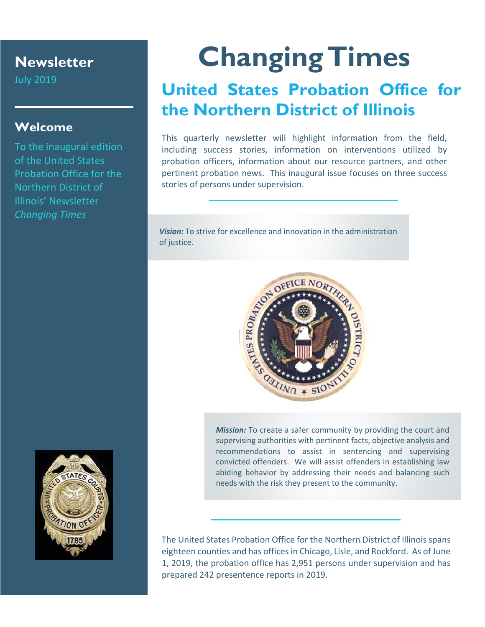### **Newsletter**

July 2019

#### **Welcome**

To the inaugural edition of the United States Probation Office for the Northern District of Illinois' Newsletter *Changing Times* 

## **Changing Times**

## **United States Probation Office for the Northern District of Illinois**

This quarterly newsletter will highlight information from the field, including success stories, information on interventions utilized by probation officers, information about our resource partners, and other pertinent probation news. This inaugural issue focuses on three success stories of persons under supervision.

*Vision:* To strive for excellence and innovation in the administration of justice.



*Mission:* To create a safer community by providing the court and supervising authorities with pertinent facts, objective analysis and recommendations to assist in sentencing and supervising convicted offenders. We will assist offenders in establishing law abiding behavior by addressing their needs and balancing such needs with the risk they present to the community.

The United States Probation Office for the Northern District of Illinois spans eighteen counties and has offices in Chicago, Lisle, and Rockford. As of June 1, 2019, the probation office has 2,951 persons under supervision and has prepared 242 presentence reports in 2019.

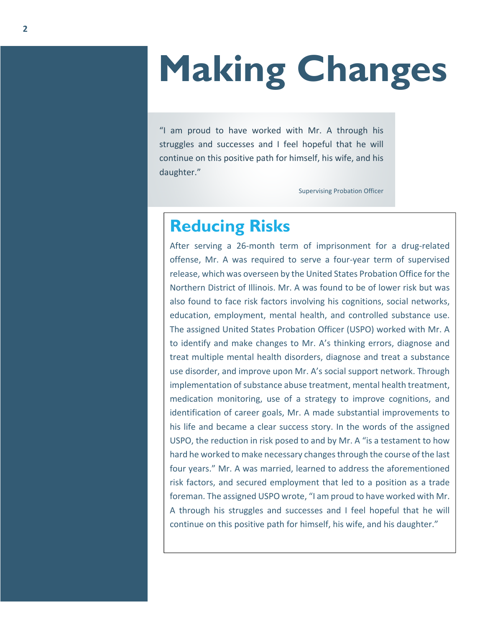# **Making Changes**

"I am proud to have worked with Mr. A through his struggles and successes and I feel hopeful that he will continue on this positive path for himself, his wife, and his daughter."

Supervising Probation Officer

### **Reducing Risks**

After serving a 26-month term of imprisonment for a drug-related offense, Mr. A was required to serve a four‐year term of supervised release, which was overseen by the United States Probation Office for the Northern District of Illinois. Mr. A was found to be of lower risk but was also found to face risk factors involving his cognitions, social networks, education, employment, mental health, and controlled substance use. The assigned United States Probation Officer (USPO) worked with Mr. A to identify and make changes to Mr. A's thinking errors, diagnose and treat multiple mental health disorders, diagnose and treat a substance use disorder, and improve upon Mr. A's social support network. Through implementation of substance abuse treatment, mental health treatment, medication monitoring, use of a strategy to improve cognitions, and identification of career goals, Mr. A made substantial improvements to his life and became a clear success story. In the words of the assigned USPO, the reduction in risk posed to and by Mr. A "is a testament to how hard he worked to make necessary changes through the course of the last four years." Mr. A was married, learned to address the aforementioned risk factors, and secured employment that led to a position as a trade foreman. The assigned USPO wrote, "I am proud to have worked with Mr. A through his struggles and successes and I feel hopeful that he will continue on this positive path for himself, his wife, and his daughter."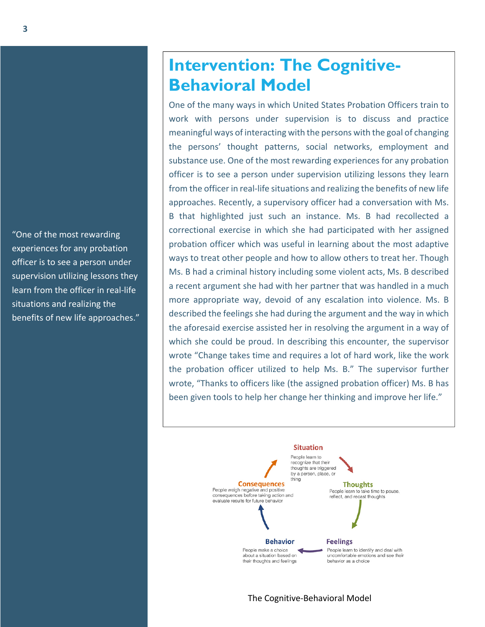"One of the most rewarding experiences for any probation officer is to see a person under supervision utilizing lessons they learn from the officer in real‐life situations and realizing the benefits of new life approaches."

## **Intervention: The Cognitive-Behavioral Model**

One of the many ways in which United States Probation Officers train to work with persons under supervision is to discuss and practice meaningful ways of interacting with the persons with the goal of changing the persons' thought patterns, social networks, employment and substance use. One of the most rewarding experiences for any probation officer is to see a person under supervision utilizing lessons they learn from the officer in real-life situations and realizing the benefits of new life approaches. Recently, a supervisory officer had a conversation with Ms. B that highlighted just such an instance. Ms. B had recollected a correctional exercise in which she had participated with her assigned probation officer which was useful in learning about the most adaptive ways to treat other people and how to allow others to treat her. Though Ms. B had a criminal history including some violent acts, Ms. B described a recent argument she had with her partner that was handled in a much more appropriate way, devoid of any escalation into violence. Ms. B described the feelings she had during the argument and the way in which the aforesaid exercise assisted her in resolving the argument in a way of which she could be proud. In describing this encounter, the supervisor wrote "Change takes time and requires a lot of hard work, like the work the probation officer utilized to help Ms. B." The supervisor further wrote, "Thanks to officers like (the assigned probation officer) Ms. B has been given tools to help her change her thinking and improve her life."